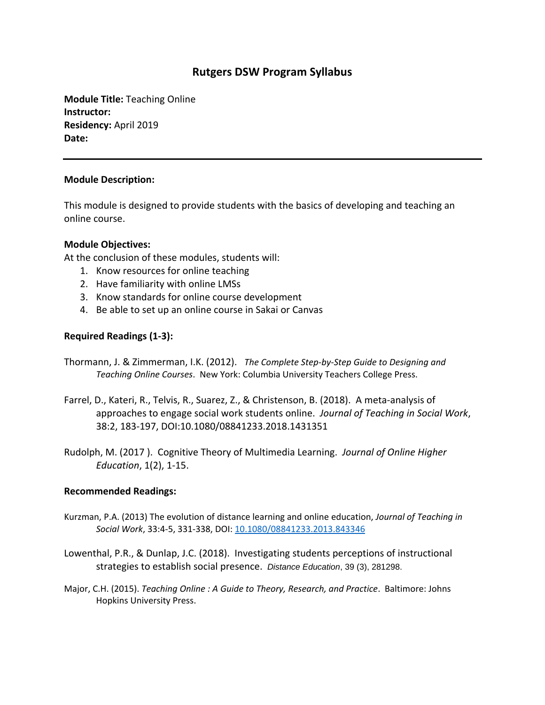# **Rutgers DSW Program Syllabus**

**Module Title:** Teaching Online **Instructor: Residency:** April 2019 **Date:**

### **Module Description:**

This module is designed to provide students with the basics of developing and teaching an online course.

### **Module Objectives:**

At the conclusion of these modules, students will:

- 1. Know resources for online teaching
- 2. Have familiarity with online LMSs
- 3. Know standards for online course development
- 4. Be able to set up an online course in Sakai or Canvas

## **Required Readings (1-3):**

- Thormann, J. & Zimmerman, I.K. (2012). *The Complete Step-by-Step Guide to Designing and Teaching Online Courses*. New York: Columbia University Teachers College Press.
- Farrel, D., Kateri, R., Telvis, R., Suarez, Z., & Christenson, B. (2018). A meta-analysis of approaches to engage social work students online. *Journal of Teaching in Social Work*, 38:2, 183-197, DOI:10.1080/08841233.2018.1431351
- Rudolph, M. (2017 ). Cognitive Theory of Multimedia Learning. *Journal of Online Higher Education*, 1(2), 1-15.

#### **Recommended Readings:**

- Kurzman, P.A. (2013) The evolution of distance learning and online education, *Journal of Teaching in Social Work*, 33:4-5, 331-338, DOI: [10.1080/08841233.2013.843346](https://doi.org/10.1080/08841233.2013.843346)
- Lowenthal, P.R., & Dunlap, J.C. (2018). Investigating students perceptions of instructional strategies to establish social presence. *Distance Education*, 39 (3), 281298.
- Major, C.H. (2015). *Teaching Online : A Guide to Theory, Research, and Practice*. Baltimore: Johns Hopkins University Press.